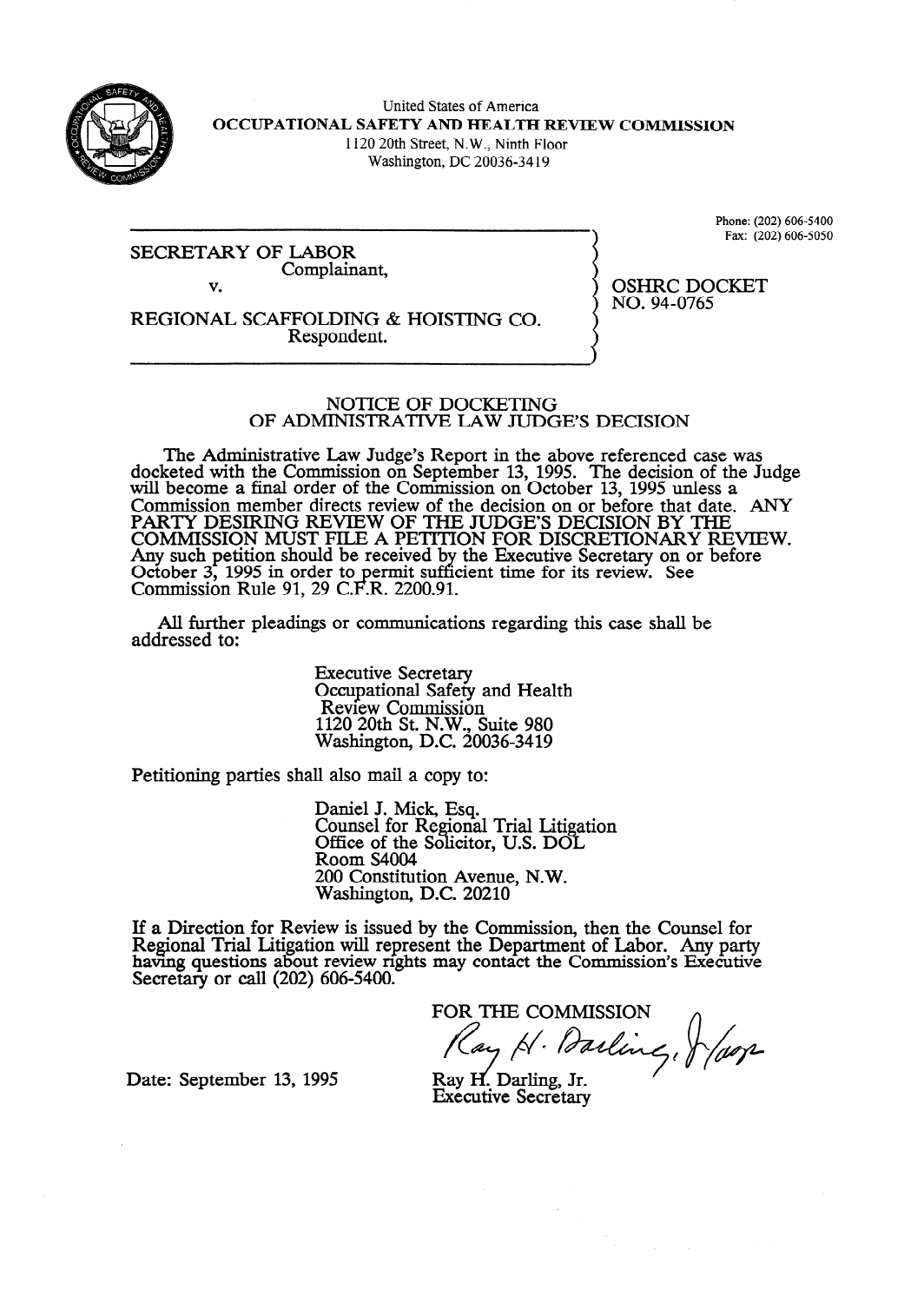

United States of America **OCCUPATIONAL SAFETY AND HEALTH REVIEW COMMISSION**  1120 20th Street, N.W., Ninth Floor

Washington, DC 20036-34 19

SECRETARY OF LABOR Complainant, v.

Phone: (202) 606-5400<br>Fax: (202) 606-5050  $\mathcal{L}(\mathcal{L})$ 

OSHRC DOCKET<br>NO. 94-0765

 $-9.977777765$ 

REGIONAL SCAFFOLDING & HOISTING CO.<br>Respondent. Respondent.

#### NOTICE OF DOCKETING OF ADMINISTRATIVE LAW JUDGE'S DECISION

OF ADMINISTRATIVE UW JUDGE'S DECISION keted with the Commission on September 13, 1995. The decision of the Judge's Report in the above references was also above  $\frac{1}{2}$ will become a final order of the Commission on October 13, 1995 unless a  $G<sub>t</sub>$ Commission member directs review of the decision on or before that date. PAKI Y DESIKING KEVIEW OF THE JUDGE'S DECISION BY THE<br>COMMISSION MUST EILE A DETELON EOD DISCRETIONARY REVIEW. COMMISSION MOST FILE A PETITION FOR DISCRETIONARY RE Any such peution should be received by the Executive Secretary on or before<br>October 2, 1005 in order to permit sufficient time for its review. See October 5, 1995 in order to permit suit.<br>Commission Pula 01, 20 C F P, 2200.01 COMMISSION NUIT 91, 29 C.F.N. 2200.91 the Executive Secretary Secretary Secretary on the Executive Secretary of the Secretary of the Secretary of Secretary Secretary Secretary Secretary Secretary Secretary Secretary Secretary Secretary Secretary Secretary Secr time for its review. See the form of the see that  $\alpha$ 

All further pleadings or communication  $A$  further pleading or communications regarding the shah behalf behalf behalf behalf behalf behalf behalf behalf behalf behalf behalf behalf behalf behalf behalf behalf behalf behalf behalf behalf behalf behalf behalf be

> **Executive Secretary** Secupational Sater  $1120$  20th St. N.W., Suite 980 Nashington, D.C. 200  $11200$   $11200$   $1120$

Petitioning parties shall also mail a copy to:

Daniel J. Mick, Esq.<br>Counsel for Regional Trial Litigation Office of the Solicitor, U.S. DOL Room S4004 200 Constitution Avenue, N.W. Washington, D.C. 20210

 $\overline{\phantom{a}}$  $\frac{1}{2}$  issued by the Comn Regional Trial Litigation will represent the Department of Labor. Any party having questions about review rights may contact the Commission's Executive Secretary or call  $(202)$  606-5400.

FOR THE COMMISSION Cay H. Darling, Jefaor

Date: September 13, 1995

Ray H. Darling, Jr. **Executive Secretary**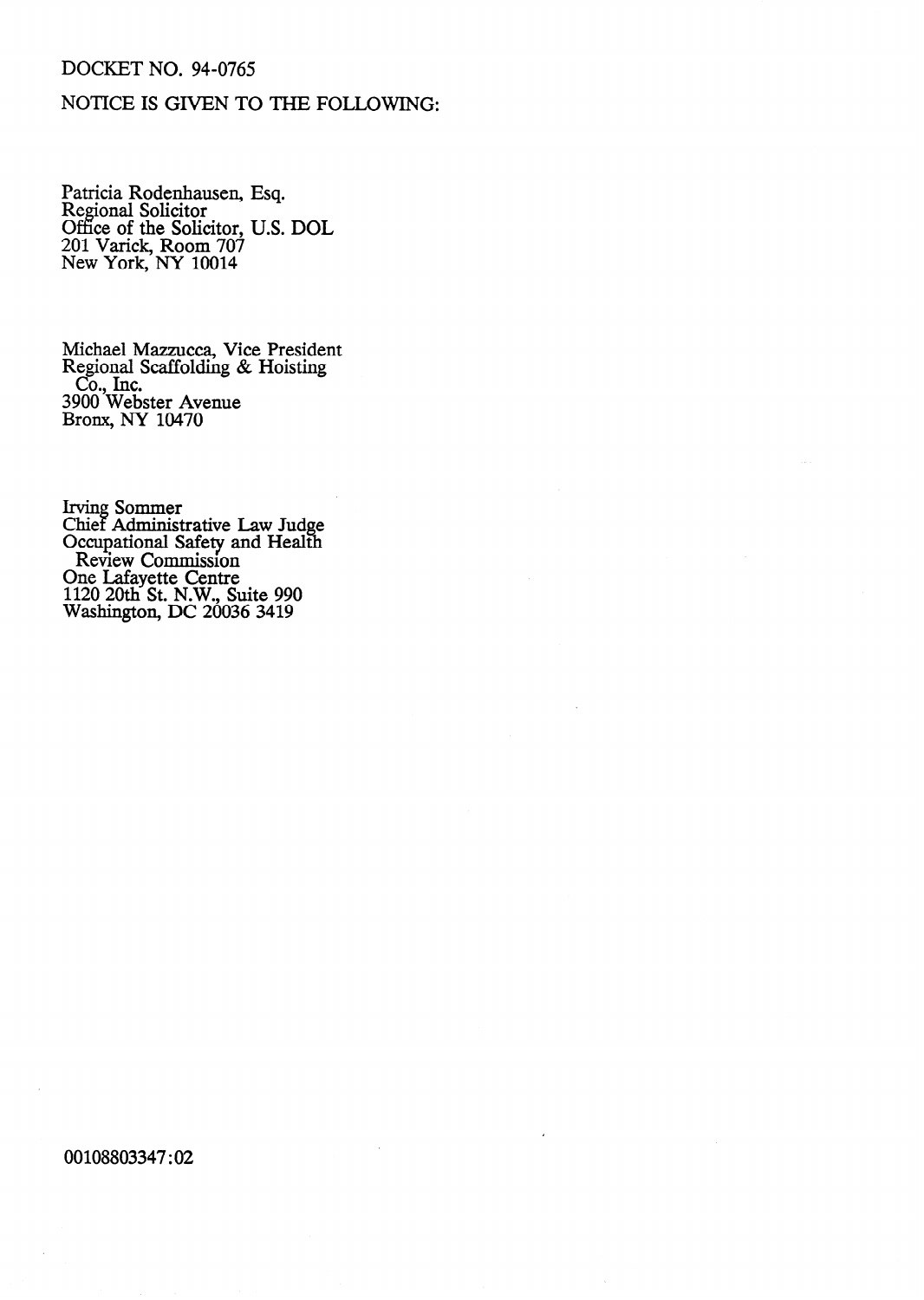## **DOCKET NO. 94-0765**

## NOTICE IS GIVEN TO THE FOLLOWING:

Patricia Rodenhausen, Esq.<br>Regional Solicitor<br>Office of the Solicitor, U.S. DOL<br>201 Varick, Room 707<br>New York, NY 10014

Michael Mazzucca, Vice President<br>Regional Scaffolding & Hoisting Co., Inc.<br>3900 Webster Avenue<br>Bronx, NY 10470

Irving Sommer<br>Chief Administrative Law Judge<br>Occupational Safety and Health<br>Review Commission<br>One Lafayette Centre<br>1120 20th St. N.W., Suite 990<br>Washington, DC 20036 3419

00108803347:02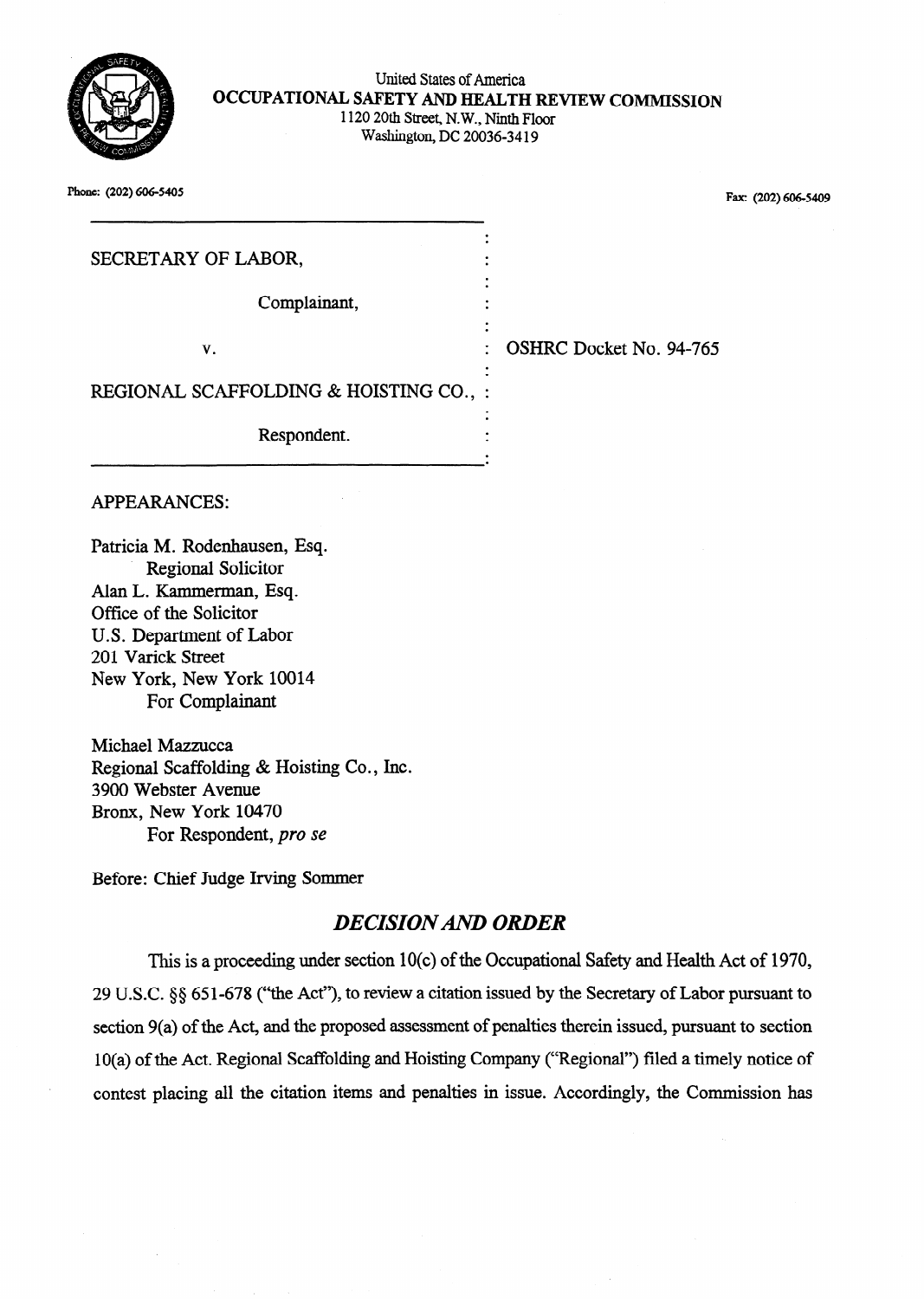

#### United States of America OCCUPATIONAL SAFETY AND HEALTH REVIEW COMMISSION 1120 20th Street, N. W., Ninth Floor Washington, DC 20036-34 19

.

. . .

. . .

.

Phone: (202) 606-5405 Fax: (202) 606-5409

| SECRETARY OF LABOR, |  |  |
|---------------------|--|--|
|                     |  |  |

Complainant, .

v. SHRC Docket No. 94-765

REGIONAL SCAFFOLDING & HOISTING CO., : .

Respondent.

APPEARANCES:

Patricia M. Rodenhausen, Esq. Regional Solicitor Alan L. Kammerman, Esq. Office of the Solicitor U.S. Department of Labor 201 Varick Street New York, New York 10014 For Complainant

Michael Mazzucca Regional Scaffolding & Hoisting Co., Inc. 3900 Webster Avenue Bronx, New York 10470 For Respondent, *pro se* 

Before: Chief Judge Irving Sommer

# *DECISIONAND ORDER*

This is a proceeding under section 10(c) of the Occupational Safety and Health Act of 19'70, 29 U.S.C. 5s 651-678 ("the Act"), to review a citation issued by the Secretary of Labor pursuant to section 9(a) of the Act, and the proposed assessment of penalties therein issued, pursuant to section 10(a) of the Act. Regional Scaffolding and Hoisting Company ("Regional") filed a timely notice of contest placing all the citation items and penalties in issue. Accordingly, the Commission has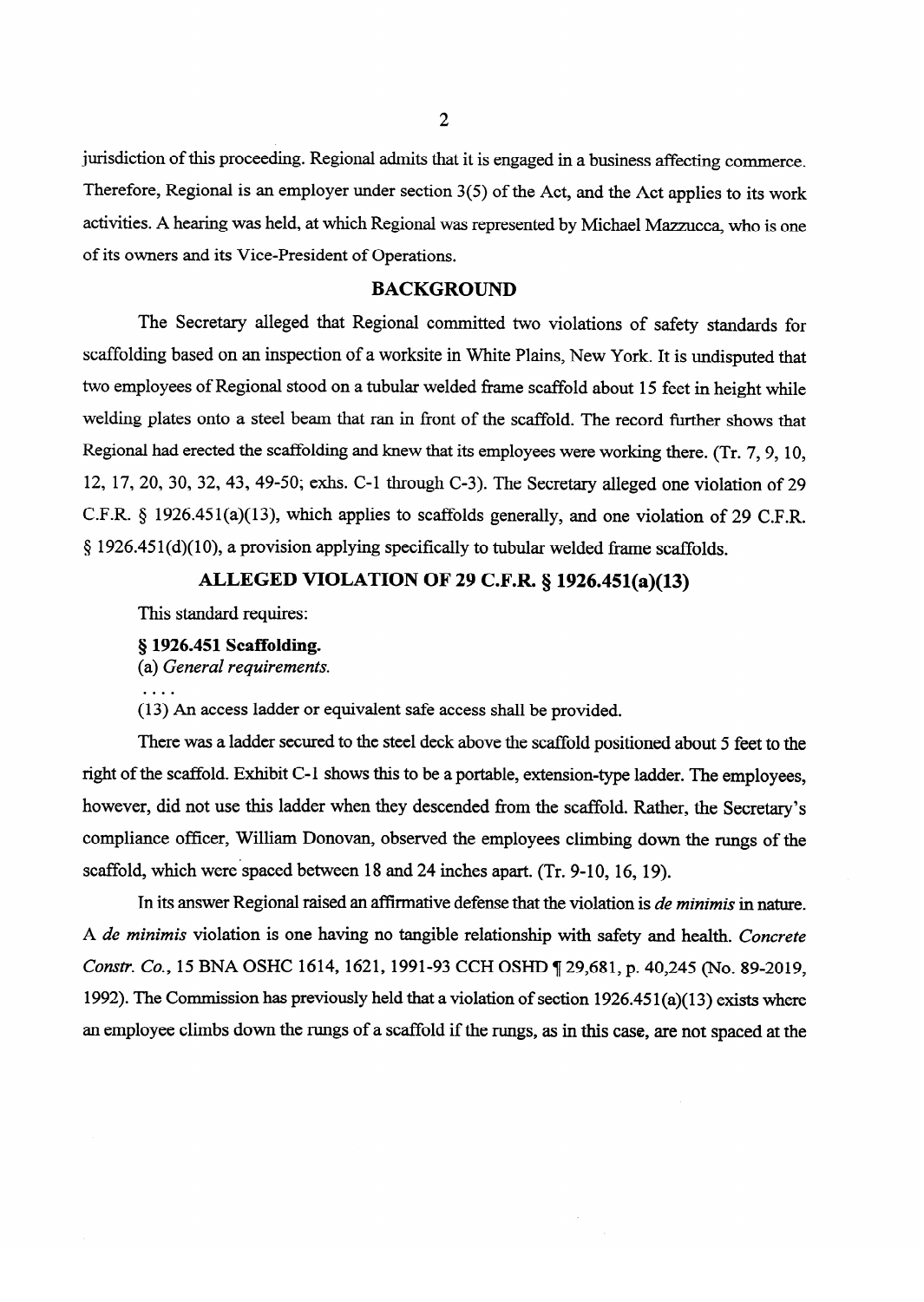jurisdiction of this proceeding. Regional admits that it is engaged in a business affecting commerce. Therefore, Regional is an employer under section 3(5) of the Act, and the Act applies to its work activities. A hearing was held, at which Regional was represented by Michael Mazzucca, who is one of its owners and its Vice-President of Operations.

**BACKGROUND**<br>The Secretary alleged that Regional committed two violations of safety standards for scaffolding based on an inspection of a worksite in White Plains, New York. It is undisputed that two employees of Regional stood on a tubular welded frame scaffold about 15 feet in height while welding plates onto a steel beam that ran in front of the scaffold. The record further shows that Regional had erected the scaffolding and knew that its employees were working there. (Tr. 7, 9, 10, 12, 17, 20, 30, 32, 43, 49-50; exhs. C-1 through C-3). The Secretary alleged one violation of 29 C.F.R. § 1926.451(a)(13), which applies to scaffolds generally, and one violation of 29 C.F.R.  $\S 1926.451(d)(10)$ , a provision applying specifically to tubular welded frame scaffolds.

## ALLEGED VIOLATION OF 29 C.F.R. § 1926.451(a)(13)

This standard requires:

§ 1926.451 Scaffolding.

**(a)** General requirements.

(13) An access ladder or equivalent safe access shall be provided.

There was a ladder secured to the steel deck above the scaffold positioned about 5 feet to the right of the scaffold. Exhibit C-1 shows this to be a portable, extension-type ladder. The employees, however, did not use this ladder when they descended from the scaffold. Rather, the Secretary's compliance officer, William Donovan, observed the employees climbing down the rungs of the scaffold, which were spaced between 18 and 24 inches apart. (Tr. 9-10, 16, 19).

In its answer Regional raised an affirmative defense that the violation is *de minimis* in nature. A de minimis violation is one having no tangible relationship with safety and health. Concrete Constr. Co., 15 BNA OSHC 1614, 1621, 1991-93 CCH OSHD ¶ 29,681, p. 40,245 (No. 89-2019, 1992). The Commission has previously held that a violation of section  $1926.451(a)(13)$  exists where an employee climbs down the rungs of a scaffold if the rungs, as in this case, are not spaced at the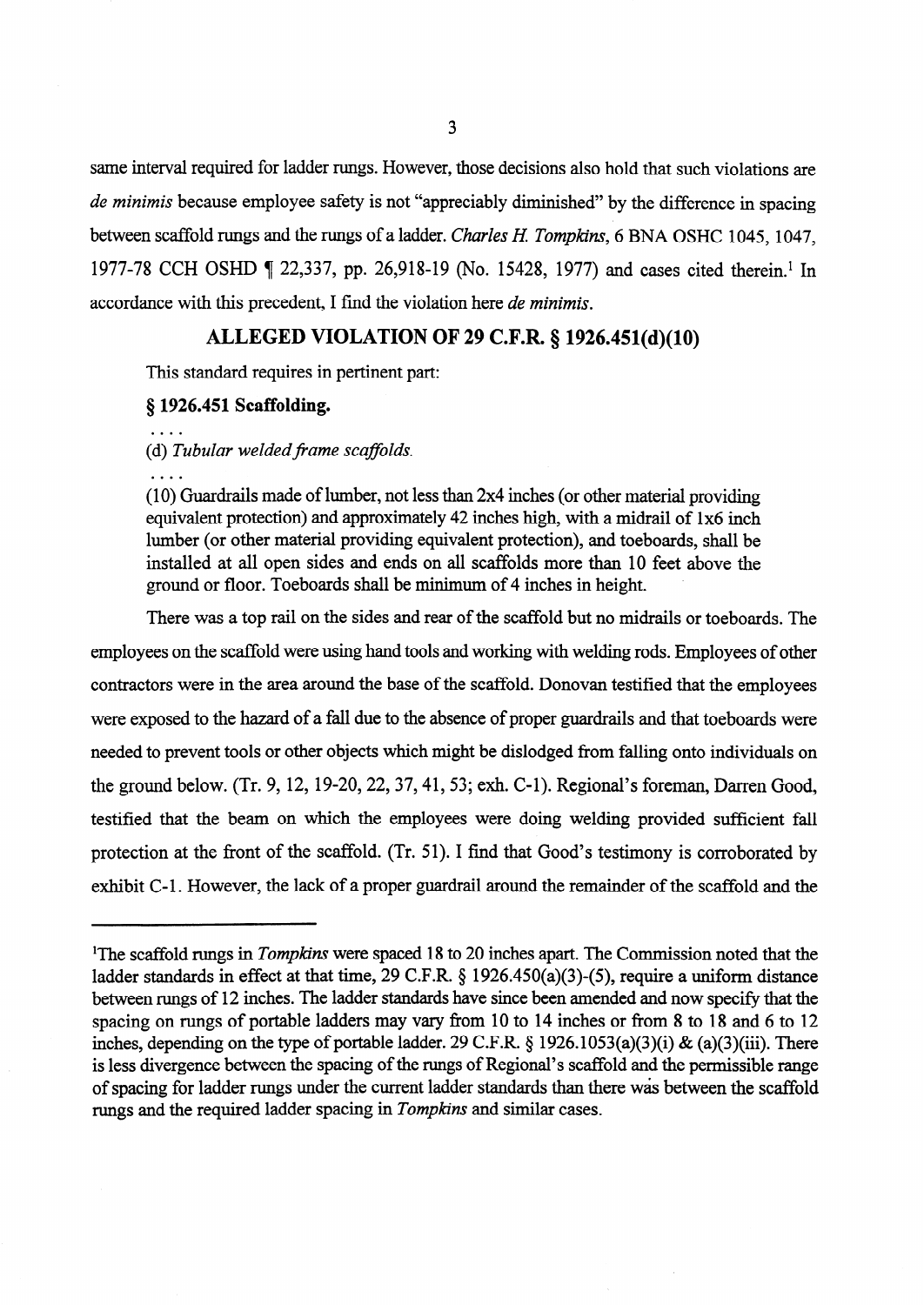same interval required for ladder rungs. However, those decisions also hold that such violations are *de minimis* because employee safety is not "appreciably diminished" by the difference in spacing between scaffold rungs and the rungs of a ladder. *Charles H Tompkins, 6* BNA OSHC 1045, 1047, 1977-78 CCH OSHD ¶ 22,337, pp. 26,918-19 (No. 15428, 1977) and cases cited therein.<sup>1</sup> In accordance with this precedent, I find the violation here *de minimis.* 

### **ALLEGED VIOLATION OF 29 C.F.R. § 1926.451(d)(lO)**

This standard requires in pertinent part:

#### **5 1926.451 Scaffolding.**

(d) *Tubular welded frame scaffolds.* 

 $\overline{1}$   $\overline{1}$ 

 $(10)$  Guardrails made of lumber, not less than 2x4 inches (or other material providing equivalent protection) and approximately 42 inches high, with a midrail of 1x6 inch lumber (or other material providing equivalent protection), and toeboards, shall be installed at all open sides and ends on all scaffolds more than 10 feet above the ground or floor. Toeboards shall be minimum of 4 inches in height.

There was a top rail on the sides and rear of the scaffold but no midrails or toeboards. The employees on the scaffold were using hand tools and working with welding rods. Employees of other contractors were in the area around the base of the scaffold. Donovan testified that the employees were exposed to the hazard of a fall due to the absence of proper guardrails and that toeboards were needed to prevent tools or other objects which might be dislodged from falling onto individuals on the ground below. (Tr. 9, 12, 19-20, 22, 37, 41, 53; exh. C-1). Regional's foreman, Darren Good, testified that the beam on which the employees were doing welding provided sufficient fall protection at the front of the scaffold. (Tr. 51). I find that Good's testimony is corroborated by exhibit C-l. However, the lack of a proper guardrail around the remainder of the scaffold and the

<sup>&</sup>lt;sup>1</sup>The scaffold rungs in *Tompkins* were spaced 18 to 20 inches apart. The Commission noted that the ladder standards in effect at that time, 29 C.F.R. § 1926.450(a)(3)-(5), require a uniform distance between rungs of 12 inches. The ladder standards have since been amended and now specify that the spacing on rungs of portable ladders may vary from 10 to 14 inches or from 8 to 18 and 6 to 12 inches, depending on the type of portable ladder. 29 C.F.R. 6 1926.1053(a)(3)(i) & (a)(3)(iii). There is less divergence between the spacing of the rungs of Regional's scaffold and the permissible range of spacing for ladder rungs under the current ladder standards than there was between the scaffold rungs and the required ladder spacing in *Tompkins* and similar cases.